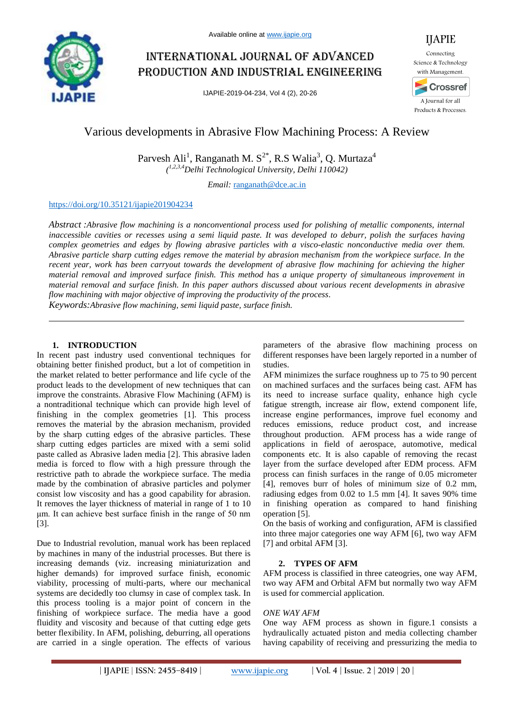

# International journal of advanced production and industrial engineering

IJAPIE-2019-04-234, Vol 4 (2), 20-26



IJAPIE

A Journal for all Products & Processes.

## Various developments in Abrasive Flow Machining Process: A Review

Parvesh Ali<sup>1</sup>, Ranganath M. S<sup>2\*</sup>, R.S Walia<sup>3</sup>, Q. Murtaza<sup>4</sup> *( 1,2,3,4Delhi Technological University, Delhi 110042)*

*Email:* ranganath@dce.ac.in

## https://doi.org/10.35121/ijapie201904234

*Abstract :Abrasive flow machining is a nonconventional process used for polishing of metallic components, internal inaccessible cavities or recesses using a semi liquid paste. It was developed to deburr, polish the surfaces having complex geometries and edges by flowing abrasive particles with a visco-elastic nonconductive media over them. Abrasive particle sharp cutting edges remove the material by abrasion mechanism from the workpiece surface. In the recent year, work has been carryout towards the development of abrasive flow machining for achieving the higher material removal and improved surface finish. This method has a unique property of simultaneous improvement in material removal and surface finish. In this paper authors discussed about various recent developments in abrasive flow machining with major objective of improving the productivity of the process.*

*Keywords:Abrasive flow machining, semi liquid paste, surface finish.*

## **1. INTRODUCTION**

In recent past industry used conventional techniques for obtaining better finished product, but a lot of competition in the market related to better performance and life cycle of the product leads to the development of new techniques that can improve the constraints. Abrasive Flow Machining (AFM) is a nontraditional technique which can provide high level of finishing in the complex geometries [1]. This process removes the material by the abrasion mechanism, provided by the sharp cutting edges of the abrasive particles. These sharp cutting edges particles are mixed with a semi solid paste called as Abrasive laden media [2]. This abrasive laden media is forced to flow with a high pressure through the restrictive path to abrade the workpiece surface. The media made by the combination of abrasive particles and polymer consist low viscosity and has a good capability for abrasion. It removes the layer thickness of material in range of 1 to 10 μm. It can achieve best surface finish in the range of 50 nm [3].

Due to Industrial revolution, manual work has been replaced by machines in many of the industrial processes. But there is increasing demands (viz. increasing miniaturization and higher demands) for improved surface finish, economic viability, processing of multi-parts, where our mechanical systems are decidedly too clumsy in case of complex task. In this process tooling is a major point of concern in the finishing of workpiece surface. The media have a good fluidity and viscosity and because of that cutting edge gets better flexibility. In AFM, polishing, deburring, all operations are carried in a single operation. The effects of various

parameters of the abrasive flow machining process on different responses have been largely reported in a number of studies.

AFM minimizes the surface roughness up to 75 to 90 percent on machined surfaces and the surfaces being cast. AFM has its need to increase surface quality, enhance high cycle fatigue strength, increase air flow, extend component life, increase engine performances, improve fuel economy and reduces emissions, reduce product cost, and increase throughout production. AFM process has a wide range of applications in field of aerospace, automotive, medical components etc. It is also capable of removing the recast layer from the surface developed after EDM process. AFM process can finish surfaces in the range of 0.05 micrometer [4], removes burr of holes of minimum size of 0.2 mm, radiusing edges from 0.02 to 1.5 mm [4]. It saves 90% time in finishing operation as compared to hand finishing operation [5].

On the basis of working and configuration, AFM is classified into three major categories one way AFM [6], two way AFM [7] and orbital AFM [3].

## **2. TYPES OF AFM**

AFM process is classified in three cateogries, one way AFM, two way AFM and Orbital AFM but normally two way AFM is used for commercial application.

## *ONE WAY AFM*

One way AFM process as shown in figure.1 consists a hydraulically actuated piston and media collecting chamber having capability of receiving and pressurizing the media to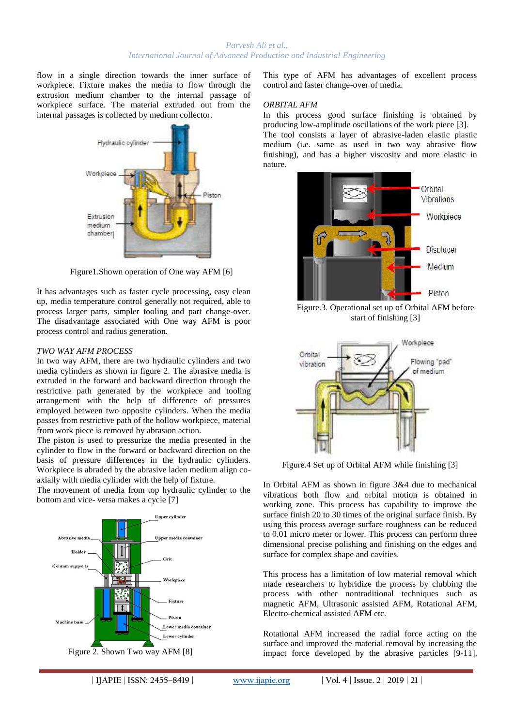flow in a single direction towards the inner surface of workpiece. Fixture makes the media to flow through the extrusion medium chamber to the internal passage of workpiece surface. The material extruded out from the internal passages is collected by medium collector.



Figure1.Shown operation of One way AFM [6]

It has advantages such as faster cycle processing, easy clean up, media temperature control generally not required, able to process larger parts, simpler tooling and part change-over. The disadvantage associated with One way AFM is poor process control and radius generation.

#### *TWO WAY AFM PROCESS*

In two way AFM, there are two hydraulic cylinders and two media cylinders as shown in figure 2. The abrasive media is extruded in the forward and backward direction through the restrictive path generated by the workpiece and tooling arrangement with the help of difference of pressures employed between two opposite cylinders. When the media passes from restrictive path of the hollow workpiece, material from work piece is removed by abrasion action.

The piston is used to pressurize the media presented in the cylinder to flow in the forward or backward direction on the basis of pressure differences in the hydraulic cylinders. Workpiece is abraded by the abrasive laden medium align coaxially with media cylinder with the help of fixture.

The movement of media from top hydraulic cylinder to the bottom and vice- versa makes a cycle [7]



This type of AFM has advantages of excellent process control and faster change-over of media.

#### *ORBITAL AFM*

In this process good surface finishing is obtained by producing low-amplitude oscillations of the work piece [3]. The tool consists a layer of abrasive-laden elastic plastic medium (i.e. same as used in two way abrasive flow finishing), and has a higher viscosity and more elastic in



Figure.3. Operational set up of Orbital AFM before start of finishing [3]



Figure.4 Set up of Orbital AFM while finishing [3]

In Orbital AFM as shown in figure 3&4 due to mechanical vibrations both flow and orbital motion is obtained in working zone. This process has capability to improve the surface finish 20 to 30 times of the original surface finish. By using this process average surface roughness can be reduced to 0.01 micro meter or lower. This process can perform three dimensional precise polishing and finishing on the edges and surface for complex shape and cavities.

This process has a limitation of low material removal which made researchers to hybridize the process by clubbing the process with other nontraditional techniques such as magnetic AFM, Ultrasonic assisted AFM, Rotational AFM, Electro-chemical assisted AFM etc.

Rotational AFM increased the radial force acting on the surface and improved the material removal by increasing the impact force developed by the abrasive particles [9-11].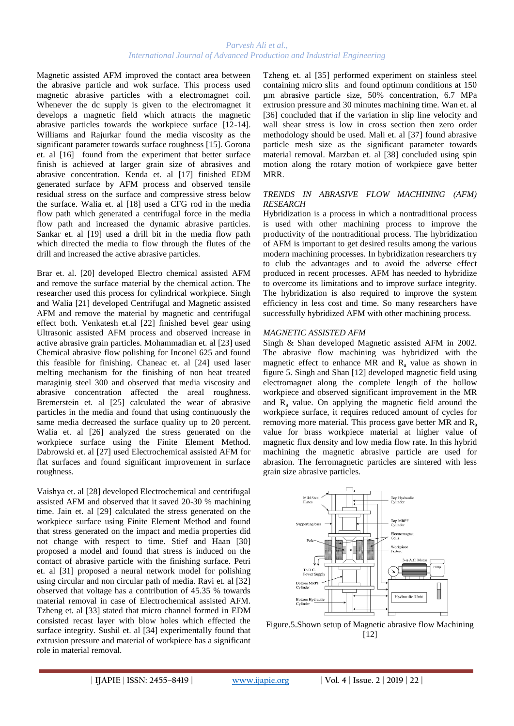Magnetic assisted AFM improved the contact area between the abrasive particle and wok surface. This process used magnetic abrasive particles with a electromagnet coil. Whenever the dc supply is given to the electromagnet it develops a magnetic field which attracts the magnetic abrasive particles towards the workpiece surface [12-14]. Williams and Rajurkar found the media viscosity as the significant parameter towards surface roughness [15]. Gorona et. al [16] found from the experiment that better surface finish is achieved at larger grain size of abrasives and abrasive concentration. Kenda et. al [17] finished EDM generated surface by AFM process and observed tensile residual stress on the surface and compressive stress below the surface. Walia et. al [18] used a CFG rod in the media flow path which generated a centrifugal force in the media flow path and increased the dynamic abrasive particles. Sankar et. al [19] used a drill bit in the media flow path which directed the media to flow through the flutes of the drill and increased the active abrasive particles.

Brar et. al. [20] developed Electro chemical assisted AFM and remove the surface material by the chemical action. The researcher used this process for cylindrical workpiece. Singh and Walia [21] developed Centrifugal and Magnetic assisted AFM and remove the material by magnetic and centrifugal effect both. Venkatesh et.al [22] finished bevel gear using Ultrasonic assisted AFM process and observed increase in active abrasive grain particles. Mohammadian et. al [23] used Chemical abrasive flow polishing for Inconel 625 and found this feasible for finishing. Chaneac et. al [24] used laser melting mechanism for the finishing of non heat treated maraginig steel 300 and observed that media viscosity and abrasive concentration affected the areal roughness. Bremerstein et. al [25] calculated the wear of abrasive particles in the media and found that using continuously the same media decreased the surface quality up to 20 percent. Walia et. al [26] analyzed the stress generated on the workpiece surface using the Finite Element Method. Dabrowski et. al [27] used Electrochemical assisted AFM for flat surfaces and found significant improvement in surface roughness.

Vaishya et. al [28] developed Electrochemical and centrifugal assisted AFM and observed that it saved 20-30 % machining time. Jain et. al [29] calculated the stress generated on the workpiece surface using Finite Element Method and found that stress generated on the impact and media properties did not change with respect to time. Stief and Haan [30] proposed a model and found that stress is induced on the contact of abrasive particle with the finishing surface. Petri et. al [31] proposed a neural network model for polishing using circular and non circular path of media. Ravi et. al [32] observed that voltage has a contribution of 45.35 % towards material removal in case of Electrochemical assisted AFM. Tzheng et. al [33] stated that micro channel formed in EDM consisted recast layer with blow holes which effected the surface integrity. Sushil et. al [34] experimentally found that extrusion pressure and material of workpiece has a significant role in material removal.

Tzheng et. al [35] performed experiment on stainless steel containing micro slits and found optimum conditions at 150 µm abrasive particle size, 50% concentration, 6.7 MPa extrusion pressure and 30 minutes machining time. Wan et. al [36] concluded that if the variation in slip line velocity and wall shear stress is low in cross section then zero order methodology should be used. Mali et. al [37] found abrasive particle mesh size as the significant parameter towards material removal. Marzban et. al [38] concluded using spin motion along the rotary motion of workpiece gave better MRR.

#### *TRENDS IN ABRASIVE FLOW MACHINING (AFM) RESEARCH*

Hybridization is a process in which a nontraditional process is used with other machining process to improve the productivity of the nontraditional process. The hybridization of AFM is important to get desired results among the various modern machining processes. In hybridization researchers try to club the advantages and to avoid the adverse effect produced in recent processes. AFM has needed to hybridize to overcome its limitations and to improve surface integrity. The hybridization is also required to improve the system efficiency in less cost and time. So many researchers have successfully hybridized AFM with other machining process.

#### *MAGNETIC ASSISTED AFM*

Singh & Shan developed Magnetic assisted AFM in 2002. The abrasive flow machining was hybridized with the magnetic effect to enhance MR and  $R_a$  value as shown in figure 5. Singh and Shan [12] developed magnetic field using electromagnet along the complete length of the hollow workpiece and observed significant improvement in the MR and  $R_a$  value. On applying the magnetic field around the workpiece surface, it requires reduced amount of cycles for removing more material. This process gave better MR and  $R_a$ value for brass workpiece material at higher value of magnetic flux density and low media flow rate. In this hybrid machining the magnetic abrasive particle are used for abrasion. The ferromagnetic particles are sintered with less grain size abrasive particles.



Figure.5.Shown setup of Magnetic abrasive flow Machining [12]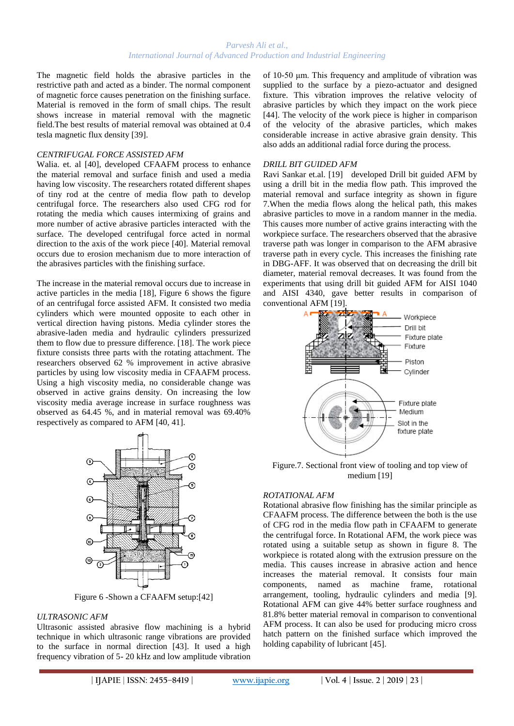The magnetic field holds the abrasive particles in the restrictive path and acted as a binder. The normal component of magnetic force causes penetration on the finishing surface. Material is removed in the form of small chips. The result shows increase in material removal with the magnetic field.The best results of material removal was obtained at 0.4 tesla magnetic flux density [39].

#### *CENTRIFUGAL FORCE ASSISTED AFM*

Walia. et. al [40], developed CFAAFM process to enhance the material removal and surface finish and used a media having low viscosity. The researchers rotated different shapes of tiny rod at the centre of media flow path to develop centrifugal force. The researchers also used CFG rod for rotating the media which causes intermixing of grains and more number of active abrasive particles interacted with the surface. The developed centrifugal force acted in normal direction to the axis of the work piece [40]. Material removal occurs due to erosion mechanism due to more interaction of the abrasives particles with the finishing surface.

The increase in the material removal occurs due to increase in active particles in the media [18], Figure 6 shows the figure of an centrifugal force assisted AFM. It consisted two media cylinders which were mounted opposite to each other in vertical direction having pistons. Media cylinder stores the abrasive-laden media and hydraulic cylinders pressurized them to flow due to pressure difference. [18]. The work piece fixture consists three parts with the rotating attachment. The researchers observed 62 % improvement in active abrasive particles by using low viscosity media in CFAAFM process. Using a high viscosity media, no considerable change was observed in active grains density. On increasing the low viscosity media average increase in surface roughness was observed as 64.45 %, and in material removal was 69.40% respectively as compared to AFM [40, 41].



Figure 6 -Shown a CFAAFM setup:[42]

#### *ULTRASONIC AFM*

Ultrasonic assisted abrasive flow machining is a hybrid technique in which ultrasonic range vibrations are provided to the surface in normal direction [43]. It used a high frequency vibration of 5- 20 kHz and low amplitude vibration of 10-50 μm. This frequency and amplitude of vibration was supplied to the surface by a piezo-actuator and designed fixture. This vibration improves the relative velocity of abrasive particles by which they impact on the work piece [44]. The velocity of the work piece is higher in comparison of the velocity of the abrasive particles, which makes considerable increase in active abrasive grain density. This also adds an additional radial force during the process.

#### *DRILL BIT GUIDED AFM*

Ravi Sankar et.al. [19] developed Drill bit guided AFM by using a drill bit in the media flow path. This improved the material removal and surface integrity as shown in figure 7.When the media flows along the helical path, this makes abrasive particles to move in a random manner in the media. This causes more number of active grains interacting with the workpiece surface. The researchers observed that the abrasive traverse path was longer in comparison to the AFM abrasive traverse path in every cycle. This increases the finishing rate in DBG-AFF. It was observed that on decreasing the drill bit diameter, material removal decreases. It was found from the experiments that using drill bit guided AFM for AISI 1040 and AISI 4340, gave better results in comparison of conventional AFM [19].



Figure.7. Sectional front view of tooling and top view of medium [19]

#### *ROTATIONAL AFM*

Rotational abrasive flow finishing has the similar principle as CFAAFM process. The difference between the both is the use of CFG rod in the media flow path in CFAAFM to generate the centrifugal force. In Rotational AFM, the work piece was rotated using a suitable setup as shown in figure 8. The workpiece is rotated along with the extrusion pressure on the media. This causes increase in abrasive action and hence increases the material removal. It consists four main components, named as machine frame, rotational arrangement, tooling, hydraulic cylinders and media [9]. Rotational AFM can give 44% better surface roughness and 81.8% better material removal in comparison to conventional AFM process. It can also be used for producing micro cross hatch pattern on the finished surface which improved the holding capability of lubricant [45].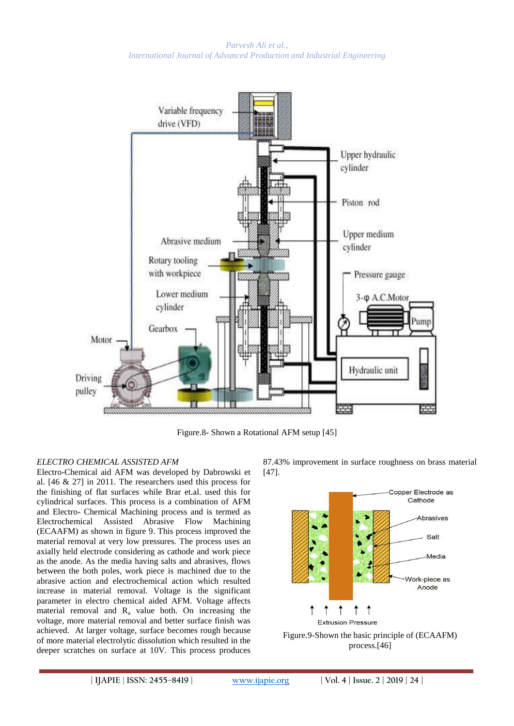

Figure.8- Shown a Rotational AFM setup [45]

## *ELECTRO CHEMICAL ASSISTED AFM*

Electro-Chemical aid AFM was developed by Dabrowski et al. [46 & 27] in 2011. The researchers used this process for the finishing of flat surfaces while Brar et.al. used this for cylindrical surfaces. This process is a combination of AFM and Electro- Chemical Machining process and is termed as Electrochemical Assisted Abrasive Flow Machining (ECAAFM) as shown in figure 9. This process improved the material removal at very low pressures. The process uses an axially held electrode considering as cathode and work piece as the anode. As the media having salts and abrasives, flows between the both poles, work piece is machined due to the abrasive action and electrochemical action which resulted increase in material removal. Voltage is the significant parameter in electro chemical aided AFM. Voltage affects material removal and  $R_a$  value both. On increasing the voltage, more material removal and better surface finish was achieved. At larger voltage, surface becomes rough because of more material electrolytic dissolution which resulted in the deeper scratches on surface at 10V. This process produces

87.43% improvement in surface roughness on brass material [47].

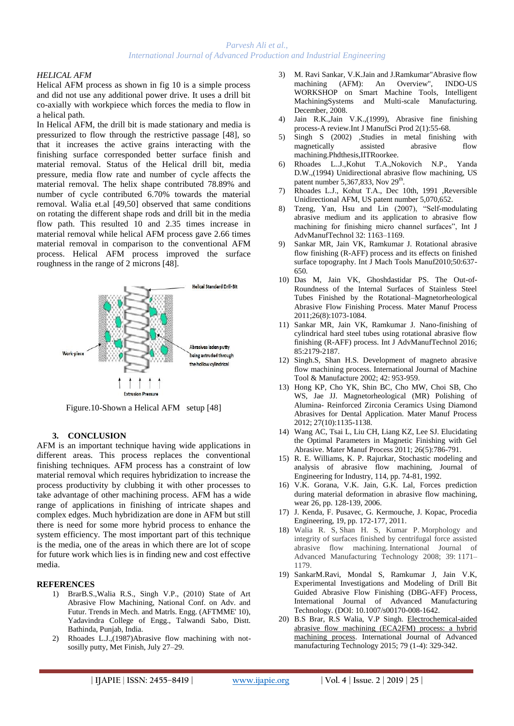#### *HELICAL AFM*

Helical AFM process as shown in fig 10 is a simple process and did not use any additional power drive. It uses a drill bit co-axially with workpiece which forces the media to flow in a helical path.

In Helical AFM, the drill bit is made stationary and media is pressurized to flow through the restrictive passage [48], so that it increases the active grains interacting with the finishing surface corresponded better surface finish and material removal. Status of the Helical drill bit, media pressure, media flow rate and number of cycle affects the material removal. The helix shape contributed 78.89% and number of cycle contributed 6.70% towards the material removal. Walia et.al [49,50] observed that same conditions on rotating the different shape rods and drill bit in the media flow path. This resulted 10 and 2.35 times increase in material removal while helical AFM process gave 2.66 times material removal in comparison to the conventional AFM process. Helical AFM process improved the surface roughness in the range of 2 microns [48].



Figure.10-Shown a Helical AFM setup [48]

#### **3. CONCLUSION**

AFM is an important technique having wide applications in different areas. This process replaces the conventional finishing techniques. AFM process has a constraint of low material removal which requires hybridization to increase the process productivity by clubbing it with other processes to take advantage of other machining process. AFM has a wide range of applications in finishing of intricate shapes and complex edges. Much hybridization are done in AFM but still there is need for some more hybrid process to enhance the system efficiency. The most important part of this technique is the media, one of the areas in which there are lot of scope for future work which lies is in finding new and cost effective media.

#### **REFERENCES**

- 1) BrarB.S.,Walia R.S., Singh V.P., (2010) State of Art Abrasive Flow Machining, National Conf. on Adv. and Futur. Trends in Mech. and Matrls. Engg. (AFTMME' 10), Yadavindra College of Engg., Talwandi Sabo, Distt. Bathinda, Punjab, India.
- 2) Rhoades L.J.,(1987)Abrasive flow machining with notsosilly putty, Met Finish, July 27–29.
- 3) M. Ravi Sankar, V.K.Jain and J.Ramkumar"Abrasive flow machining (AFM): An Overview", INDO-US WORKSHOP on Smart Machine Tools, Intelligent MachiningSystems and Multi-scale Manufacturing. December, 2008.
- 4) Jain R.K.,Jain V.K.,(1999), Abrasive fine finishing process-A review.Int J ManufSci Prod 2(1):55-68.
- 5) Singh S (2002) ,Studies in metal finishing with magnetically assisted abrasive flow machining.Phdthesis,IITRoorkee.
- 6) Rhoades L..J.,Kohut T.A.,Nokovich N.P., Yanda D.W.,(1994) Unidirectional abrasive flow machining, US patent number 5,367,833, Nov  $29<sup>th</sup>$ .
- 7) Rhoades L.J., Kohut T.A., Dec 10th, 1991 ,Reversible Unidirectional AFM, US patent number 5,070,652.
- 8) Tzeng, Yan, Hsu and Lin (2007), "Self-modulating abrasive medium and its application to abrasive flow machining for finishing micro channel surfaces", Int J AdvManufTechnol 32: 1163–1169.
- 9) Sankar MR, Jain VK, Ramkumar J. Rotational abrasive flow finishing (R-AFF) process and its effects on finished surface topography. Int J Mach Tools Manuf2010;50:637- 650.
- 10) Das M, Jain VK, Ghoshdastidar PS. The Out-of-Roundness of the Internal Surfaces of Stainless Steel Tubes Finished by the Rotational–Magnetorheological Abrasive Flow Finishing Process. Mater Manuf Process 2011;26(8):1073-1084.
- 11) Sankar MR, Jain VK, Ramkumar J. Nano-finishing of cylindrical hard steel tubes using rotational abrasive flow finishing (R-AFF) process. Int J AdvManufTechnol 2016; 85:2179-2187.
- 12) Singh.S, Shan H.S. Development of magneto abrasive flow machining process. International Journal of Machine Tool & Manufacture 2002; 42: 953-959.
- 13) Hong KP, Cho YK, Shin BC, Cho MW, Choi SB, Cho WS, Jae JJ. Magnetorheological (MR) Polishing of Alumina- Reinforced Zirconia Ceramics Using Diamond Abrasives for Dental Application. Mater Manuf Process 2012; 27(10):1135-1138.
- 14) Wang AC, Tsai L, Liu CH, Liang KZ, Lee SJ. Elucidating the Optimal Parameters in Magnetic Finishing with Gel Abrasive. Mater Manuf Process 2011; 26(5):786-791.
- 15) R. E. Williams, K. P. Rajurkar, Stochastic modeling and analysis of abrasive flow machining, Journal of Engineering for Industry, 114, pp. 74-81, 1992.
- 16) V.K. Gorana, V.K. Jain, G.K. Lal, Forces prediction during material deformation in abrasive flow machining, wear 26, pp. 128-139, 2006.
- 17) J. Kenda, F. Pusavec, G. Kermouche, J. Kopac, Procedia Engineering, 19, pp. 172-177, 2011.
- 18) Walia R. S, Shan H. S, Kumar P. Morphology and integrity of surfaces finished by centrifugal force assisted abrasive flow machining. International Journal of Advanced Manufacturing Technology 2008; 39: 1171– 1179.
- 19) SankarM.Ravi, Mondal S, Ramkumar J, Jain V.K, Experimental Investigations and Modeling of Drill Bit Guided Abrasive Flow Finishing (DBG-AFF) Process, International Journal of Advanced Manufacturing Technology. (DOI: 10.1007/s00170-008-1642.
- 20) B.S Brar, R.S Walia, V.P Singh. [Electrochemical-aided](https://scholar.google.com/scholar?oi=bibs&cluster=9821425313823089407&btnI=1&hl=en)  [abrasive flow machining \(ECA2FM\) process: a hybrid](https://scholar.google.com/scholar?oi=bibs&cluster=9821425313823089407&btnI=1&hl=en)  [machining process.](https://scholar.google.com/scholar?oi=bibs&cluster=9821425313823089407&btnI=1&hl=en) International Journal of Advanced manufacturing Technology 2015; 79 (1-4): 329-342.